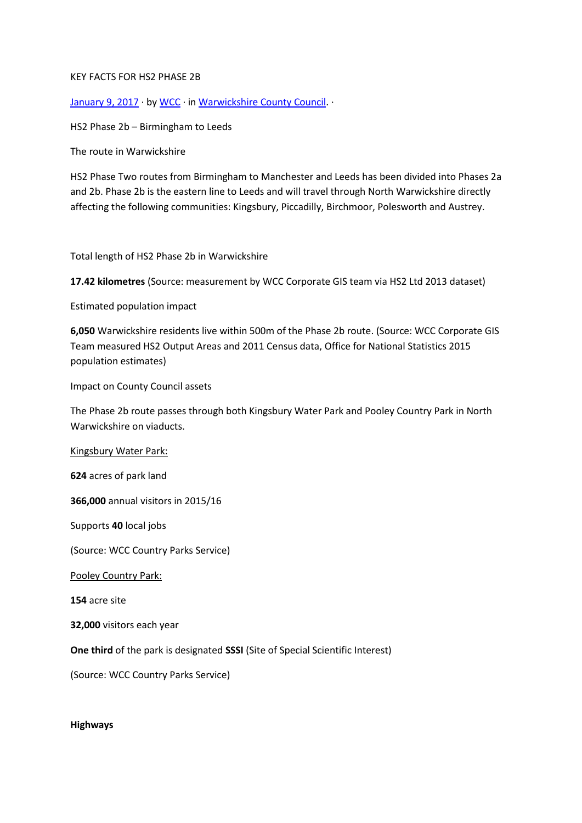## KEY FACTS FOR HS2 PHASE 2B

[January 9, 2017](https://wcchs2.wordpress.com/2017/01/09/key-facts-for-hs2-phase-2b/) by [WCC](https://wcchs2.wordpress.com/author/djen68/) in [Warwickshire County Council.](https://wcchs2.wordpress.com/category/warwickshire-county-council/)

HS2 Phase 2b – Birmingham to Leeds

The route in Warwickshire

HS2 Phase Two routes from Birmingham to Manchester and Leeds has been divided into Phases 2a and 2b. Phase 2b is the eastern line to Leeds and will travel through North Warwickshire directly affecting the following communities: Kingsbury, Piccadilly, Birchmoor, Polesworth and Austrey.

Total length of HS2 Phase 2b in Warwickshire

**17.42 kilometres** (Source: measurement by WCC Corporate GIS team via HS2 Ltd 2013 dataset)

Estimated population impact

**6,050** Warwickshire residents live within 500m of the Phase 2b route. (Source: WCC Corporate GIS Team measured HS2 Output Areas and 2011 Census data, Office for National Statistics 2015 population estimates)

Impact on County Council assets

The Phase 2b route passes through both Kingsbury Water Park and Pooley Country Park in North Warwickshire on viaducts.

Kingsbury Water Park:

**624** acres of park land

**366,000** annual visitors in 2015/16

Supports **40** local jobs

(Source: WCC Country Parks Service)

Pooley Country Park:

**154** acre site

**32,000** visitors each year

**One third** of the park is designated **SSSI** (Site of Special Scientific Interest)

(Source: WCC Country Parks Service)

**Highways**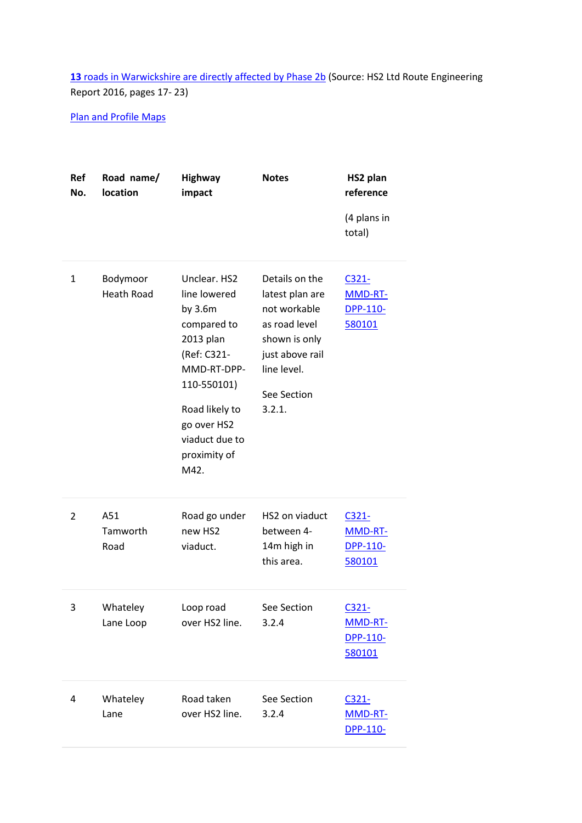13 [roads in Warwickshire are directly affected by Phase 2b](https://www.gov.uk/government/uploads/system/uploads/attachment_data/file/567616/West_Midlands_to_Leeds_Route_engineering_report.pdf) (Source: HS2 Ltd Route Engineering

Report 2016, pages 17- 23)

[Plan and Profile Maps](https://www.gov.uk/government/collections/hs2-phase-two-from-the-west-midlands-to-leeds-and-manchester#phase-2b---plan-and-profile-maps:-western-leg-towards-manchester)

| Ref<br>No.   | Road name/<br>location        | <b>Highway</b><br>impact                                                                                                                                                                    | <b>Notes</b>                                                                                                                                   | HS2 plan<br>reference<br>(4 plans in<br>total)   |
|--------------|-------------------------------|---------------------------------------------------------------------------------------------------------------------------------------------------------------------------------------------|------------------------------------------------------------------------------------------------------------------------------------------------|--------------------------------------------------|
| $\mathbf{1}$ | Bodymoor<br><b>Heath Road</b> | Unclear. HS2<br>line lowered<br>by 3.6m<br>compared to<br>2013 plan<br>(Ref: C321-<br>MMD-RT-DPP-<br>110-550101)<br>Road likely to<br>go over HS2<br>viaduct due to<br>proximity of<br>M42. | Details on the<br>latest plan are<br>not workable<br>as road level<br>shown is only<br>just above rail<br>line level.<br>See Section<br>3.2.1. | $C321 -$<br>MMD-RT-<br><b>DPP-110-</b><br>580101 |
| 2            | A51<br>Tamworth<br>Road       | Road go under<br>new HS2<br>viaduct.                                                                                                                                                        | HS2 on viaduct<br>between 4-<br>14m high in<br>this area.                                                                                      | $C321 -$<br>MMD-RT-<br>DPP-110-<br>580101        |
| 3            | Whateley<br>Lane Loop         | Loop road<br>over HS2 line.                                                                                                                                                                 | See Section<br>3.2.4                                                                                                                           | $C321 -$<br>MMD-RT-<br>DPP-110-<br>580101        |
| 4            | Whateley<br>Lane              | Road taken<br>over HS2 line.                                                                                                                                                                | See Section<br>3.2.4                                                                                                                           | $C321-$<br>MMD-RT-<br>DPP-110-                   |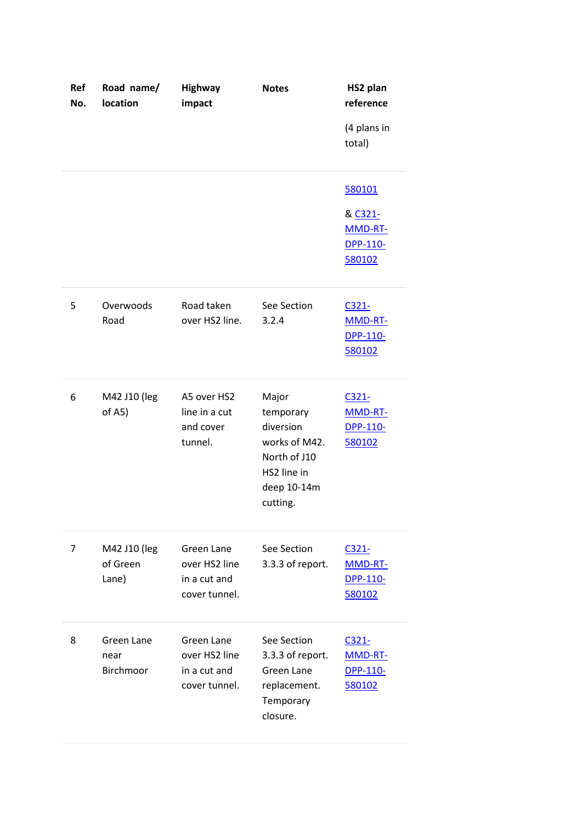| Ref<br>No. | Road name/<br>location            | <b>Highway</b><br>impact                                     | <b>Notes</b>                                                                                               | HS2 plan<br>reference<br>(4 plans in<br>total)     |
|------------|-----------------------------------|--------------------------------------------------------------|------------------------------------------------------------------------------------------------------------|----------------------------------------------------|
|            |                                   |                                                              |                                                                                                            | 580101<br>& C321-<br>MMD-RT-<br>DPP-110-<br>580102 |
| 5          | Overwoods<br>Road                 | Road taken<br>over HS2 line.                                 | See Section<br>3.2.4                                                                                       | $C321-$<br>MMD-RT-<br>DPP-110-<br>580102           |
| 6          | M42 J10 (leg<br>of A5)            | A5 over HS2<br>line in a cut<br>and cover<br>tunnel.         | Major<br>temporary<br>diversion<br>works of M42.<br>North of J10<br>HS2 line in<br>deep 10-14m<br>cutting. | $C321-$<br>MMD-RT-<br>DPP-110-<br>580102           |
| 7          | M42 J10 (leg<br>of Green<br>Lane) | Green Lane<br>over HS2 line<br>in a cut and<br>cover tunnel. | See Section<br>3.3.3 of report.                                                                            | $C321-$<br>MMD-RT-<br><b>DPP-110-</b><br>580102    |
| 8          | Green Lane<br>near<br>Birchmoor   | Green Lane<br>over HS2 line<br>in a cut and<br>cover tunnel. | See Section<br>3.3.3 of report.<br>Green Lane<br>replacement.<br>Temporary<br>closure.                     | $C321-$<br>MMD-RT-<br>DPP-110-<br>580102           |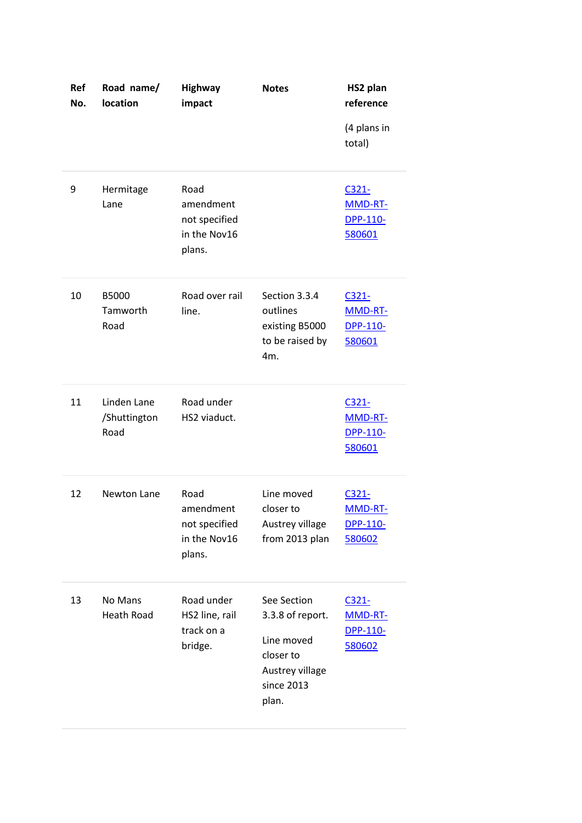| Ref<br>No. | Road name/<br><b>location</b>       | <b>Highway</b><br>impact                                     | <b>Notes</b>                                                                                         | HS2 plan<br>reference<br>(4 plans in<br>total)  |
|------------|-------------------------------------|--------------------------------------------------------------|------------------------------------------------------------------------------------------------------|-------------------------------------------------|
| 9          | Hermitage<br>Lane                   | Road<br>amendment<br>not specified<br>in the Nov16<br>plans. |                                                                                                      | $C321 -$<br>MMD-RT-<br>DPP-110-<br>580601       |
| 10         | B5000<br>Tamworth<br>Road           | Road over rail<br>line.                                      | Section 3.3.4<br>outlines<br>existing B5000<br>to be raised by<br>4m.                                | $C321-$<br>MMD-RT-<br><b>DPP-110-</b><br>580601 |
| 11         | Linden Lane<br>/Shuttington<br>Road | Road under<br>HS2 viaduct.                                   |                                                                                                      | $C321 -$<br>MMD-RT-<br>DPP-110-<br>580601       |
| 12         | <b>Newton Lane</b>                  | Road<br>amendment<br>not specified<br>in the Nov16<br>plans. | Line moved<br>closer to<br>Austrey village<br>from 2013 plan                                         | $C321-$<br>MMD-RT-<br>DPP-110-<br>580602        |
| 13         | No Mans<br><b>Heath Road</b>        | Road under<br>HS2 line, rail<br>track on a<br>bridge.        | See Section<br>3.3.8 of report.<br>Line moved<br>closer to<br>Austrey village<br>since 2013<br>plan. | $C321 -$<br>MMD-RT-<br>DPP-110-<br>580602       |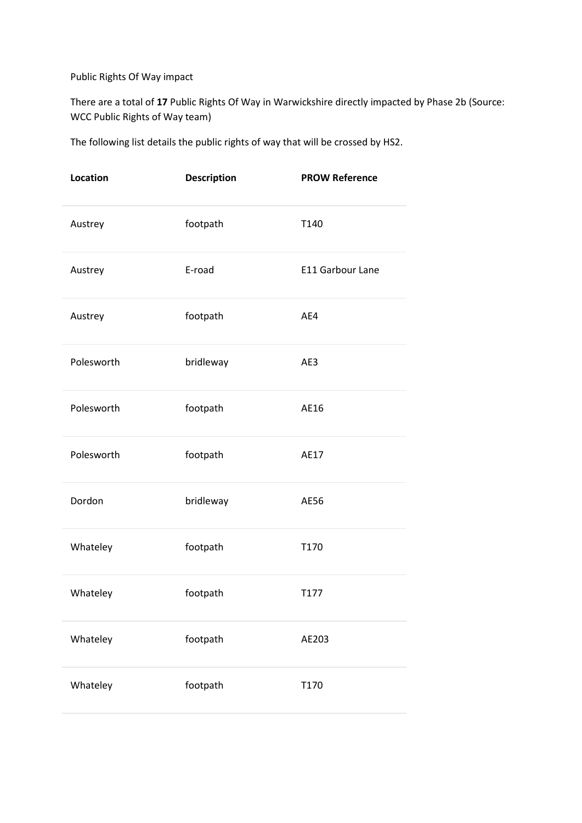## Public Rights Of Way impact

There are a total of **17** Public Rights Of Way in Warwickshire directly impacted by Phase 2b (Source: WCC Public Rights of Way team)

The following list details the public rights of way that will be crossed by HS2.

| <b>Location</b> | <b>Description</b> | <b>PROW Reference</b> |
|-----------------|--------------------|-----------------------|
| Austrey         | footpath           | T140                  |
| Austrey         | E-road             | E11 Garbour Lane      |
| Austrey         | footpath           | AE4                   |
| Polesworth      | bridleway          | AE3                   |
| Polesworth      | footpath           | AE16                  |
| Polesworth      | footpath           | AE17                  |
| Dordon          | bridleway          | AE56                  |
| Whateley        | footpath           | T170                  |
| Whateley        | footpath           | T177                  |
| Whateley        | footpath           | AE203                 |
| Whateley        | footpath           | T170                  |